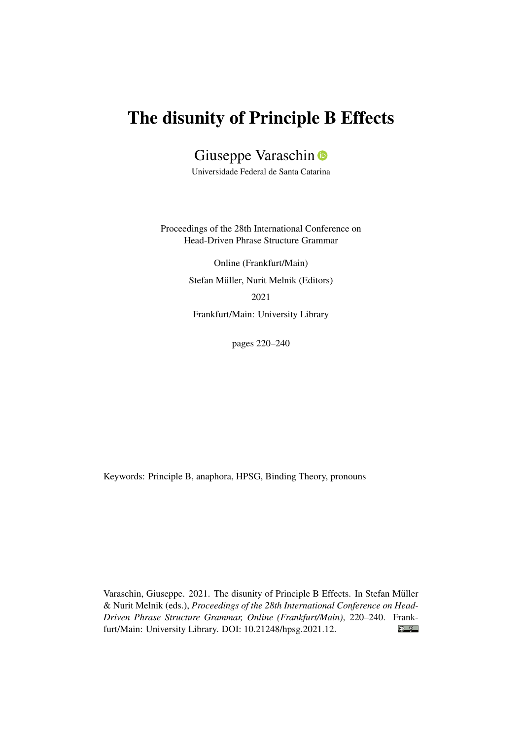# The disunity of Principle B Effects

Giuseppe Varaschin D

Universidade Federal de Santa Catarina

Proceedings of the 28th International Conference on Head-Driven Phrase Structure Grammar

> Online (Frankfurt/Main) Stefan Müller, Nurit Melnik (Editors) 2021 Frankfurt/Main: University Library

> > pages 220–240

Keywords: Principle B, anaphora, HPSG, Binding Theory, pronouns

Varaschin, Giuseppe. 2021. The disunity of Principle B Effects. In Stefan Müller & Nurit Melnik (eds.), *Proceedings of the 28th International Conference on Head-Driven Phrase Structure Grammar, Online (Frankfurt/Main)*, 220–240. Frank- $\odot$   $\odot$ furt/Main: University Library. DOI: [10.21248/hpsg.2021.12.](http://doi.org/10.21248/hpsg.2021.12)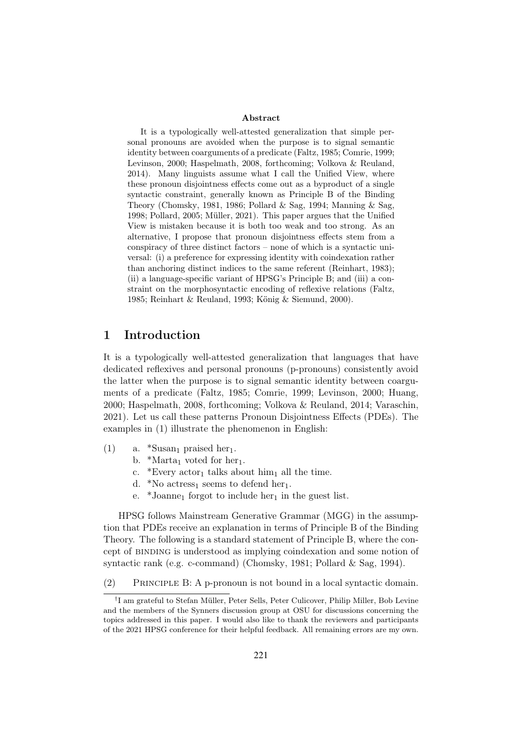#### Abstract

It is a typologically well-attested generalization that simple personal pronouns are avoided when the purpose is to signal semantic identity between coarguments of a predicate (Faltz, 1985; Comrie, 1999; Levinson, 2000; Haspelmath, 2008, forthcoming; Volkova & Reuland, 2014). Many linguists assume what I call the Unified View, where these pronoun disjointness effects come out as a byproduct of a single syntactic constraint, generally known as Principle B of the Binding Theory (Chomsky, 1981, 1986; Pollard & Sag, 1994; Manning & Sag, 1998; Pollard, 2005; Müller, 2021). This paper argues that the Unified View is mistaken because it is both too weak and too strong. As an alternative, I propose that pronoun disjointness effects stem from a conspiracy of three distinct factors – none of which is a syntactic universal: (i) a preference for expressing identity with coindexation rather than anchoring distinct indices to the same referent (Reinhart, 1983); (ii) a language-specific variant of HPSG's Principle B; and (iii) a constraint on the morphosyntactic encoding of reflexive relations (Faltz, 1985; Reinhart & Reuland, 1993; König & Siemund, 2000).

## 1 Introduction

It is a typologically well-attested generalization that languages that have dedicated reflexives and personal pronouns (p-pronouns) consistently avoid the latter when the purpose is to signal semantic identity between coarguments of a predicate (Faltz, 1985; Comrie, 1999; Levinson, 2000; Huang, 2000; Haspelmath, 2008, forthcoming; Volkova & Reuland, 2014; Varaschin, 2021). Let us call these patterns Pronoun Disjointness Effects (PDEs). The examples in (1) illustrate the phenomenon in English:

- (1) a.  $*Susan_1$  praised her<sub>1</sub>.
	- b. \*Marta<sub>1</sub> voted for her<sub>1</sub>.
	- c. \*Every  $actor_1$  talks about him<sub>1</sub> all the time.
	- d. \*No actress<sub>1</sub> seems to defend her<sub>1</sub>.
	- e. \*Joanne<sub>1</sub> forgot to include her<sub>1</sub> in the guest list.

HPSG follows Mainstream Generative Grammar (MGG) in the assumption that PDEs receive an explanation in terms of Principle B of the Binding Theory. The following is a standard statement of Principle B, where the concept of binding is understood as implying coindexation and some notion of syntactic rank (e.g. c-command) (Chomsky, 1981; Pollard & Sag, 1994).

(2) Principle B: A p-pronoun is not bound in a local syntactic domain.

<sup>†</sup> I am grateful to Stefan Müller, Peter Sells, Peter Culicover, Philip Miller, Bob Levine and the members of the Synners discussion group at OSU for discussions concerning the topics addressed in this paper. I would also like to thank the reviewers and participants of the 2021 HPSG conference for their helpful feedback. All remaining errors are my own.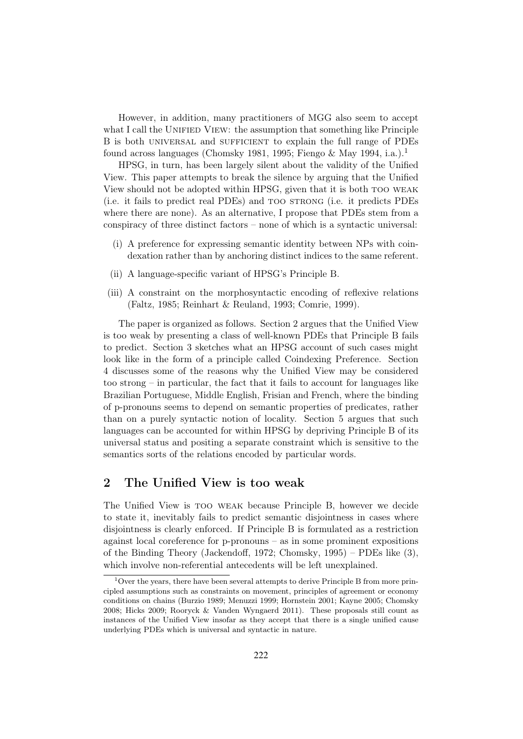However, in addition, many practitioners of MGG also seem to accept what I call the UNIFIED VIEW: the assumption that something like Principle B is both universal and sufficient to explain the full range of PDEs found across languages (Chomsky 1981, 1995; Fiengo & May 1994, i.a.).<sup>1</sup>

HPSG, in turn, has been largely silent about the validity of the Unified View. This paper attempts to break the silence by arguing that the Unified View should not be adopted within HPSG, given that it is both too weak (i.e. it fails to predict real PDEs) and too strong (i.e. it predicts PDEs where there are none). As an alternative, I propose that PDEs stem from a conspiracy of three distinct factors – none of which is a syntactic universal:

- (i) A preference for expressing semantic identity between NPs with coindexation rather than by anchoring distinct indices to the same referent.
- (ii) A language-specific variant of HPSG's Principle B.
- (iii) A constraint on the morphosyntactic encoding of reflexive relations (Faltz, 1985; Reinhart & Reuland, 1993; Comrie, 1999).

The paper is organized as follows. Section 2 argues that the Unified View is too weak by presenting a class of well-known PDEs that Principle B fails to predict. Section 3 sketches what an HPSG account of such cases might look like in the form of a principle called Coindexing Preference. Section 4 discusses some of the reasons why the Unified View may be considered too strong – in particular, the fact that it fails to account for languages like Brazilian Portuguese, Middle English, Frisian and French, where the binding of p-pronouns seems to depend on semantic properties of predicates, rather than on a purely syntactic notion of locality. Section 5 argues that such languages can be accounted for within HPSG by depriving Principle B of its universal status and positing a separate constraint which is sensitive to the semantics sorts of the relations encoded by particular words.

# 2 The Unified View is too weak

The Unified View is too weak because Principle B, however we decide to state it, inevitably fails to predict semantic disjointness in cases where disjointness is clearly enforced. If Principle B is formulated as a restriction against local coreference for p-pronouns – as in some prominent expositions of the Binding Theory (Jackendoff, 1972; Chomsky, 1995) – PDEs like (3), which involve non-referential antecedents will be left unexplained.

<sup>&</sup>lt;sup>1</sup>Over the years, there have been several attempts to derive Principle B from more principled assumptions such as constraints on movement, principles of agreement or economy conditions on chains (Burzio 1989; Menuzzi 1999; Hornstein 2001; Kayne 2005; Chomsky 2008; Hicks 2009; Rooryck & Vanden Wyngaerd 2011). These proposals still count as instances of the Unified View insofar as they accept that there is a single unified cause underlying PDEs which is universal and syntactic in nature.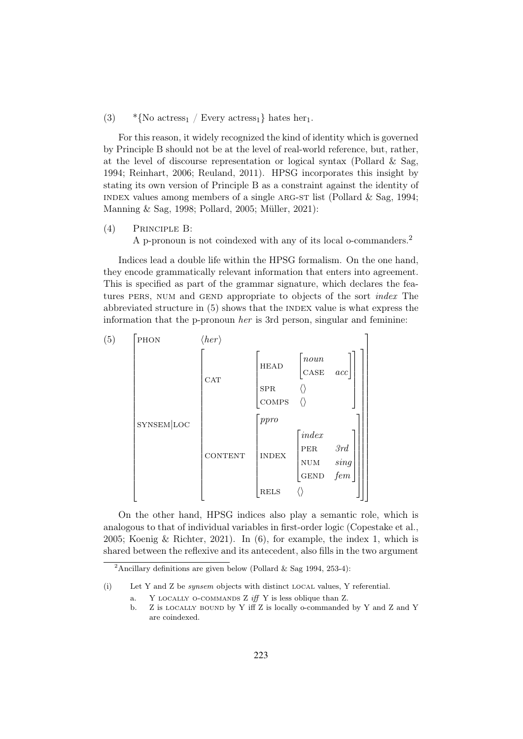#### (3)  $\ast$ {No actress<sub>1</sub> / Every actress<sub>1</sub>} hates her<sub>1</sub>.

For this reason, it widely recognized the kind of identity which is governed by Principle B should not be at the level of real-world reference, but, rather, at the level of discourse representation or logical syntax (Pollard & Sag, 1994; Reinhart, 2006; Reuland, 2011). HPSG incorporates this insight by stating its own version of Principle B as a constraint against the identity of INDEX values among members of a single ARG-ST list (Pollard  $\&$  Sag, 1994; Manning & Sag, 1998; Pollard, 2005; Müller, 2021):

(4) Principle B:

A p-pronoun is not coindexed with any of its local o-commanders.<sup>2</sup>

Indices lead a double life within the HPSG formalism. On the one hand, they encode grammatically relevant information that enters into agreement. This is specified as part of the grammar signature, which declares the features PERS, NUM and GEND appropriate to objects of the sort *index* The abbreviated structure in  $(5)$  shows that the INDEX value is what express the information that the p-pronoun her is 3rd person, singular and feminine:



On the other hand, HPSG indices also play a semantic role, which is analogous to that of individual variables in first-order logic (Copestake et al., 2005; Koenig & Richter, 2021). In (6), for example, the index 1, which is shared between the reflexive and its antecedent, also fills in the two argument

<sup>&</sup>lt;sup>2</sup>Ancillary definitions are given below (Pollard & Sag 1994, 253-4):

<sup>(</sup>i) Let Y and Z be *synsem* objects with distinct LOCAL values, Y referential.

a. Y LOCALLY O-COMMANDS Z iff Y is less oblique than Z.

b. Z is locally bound by Y iff Z is locally o-commanded by Y and Z and Y are coindexed.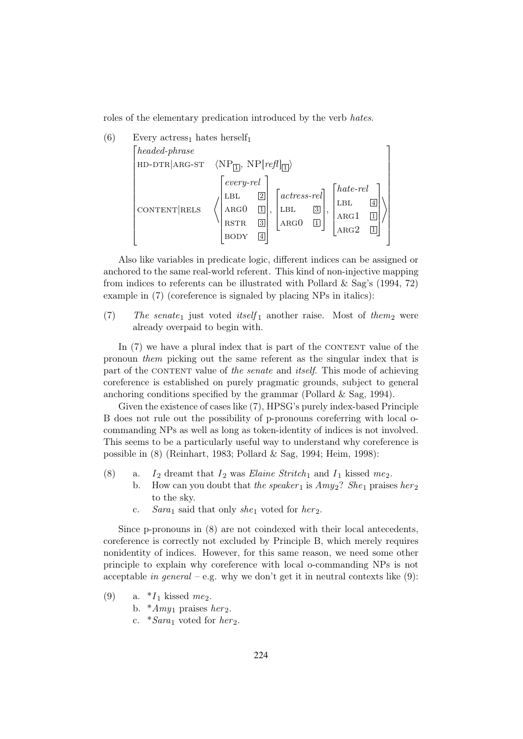roles of the elementary predication introduced by the verb hates.



Also like variables in predicate logic, different indices can be assigned or anchored to the same real-world referent. This kind of non-injective mapping from indices to referents can be illustrated with Pollard  $\&$  Sag's (1994, 72) example in (7) (coreference is signaled by placing NPs in italics):

(7) The senate<sub>1</sub> just voted itself<sub>1</sub> another raise. Most of them<sub>2</sub> were already overpaid to begin with.

In  $(7)$  we have a plural index that is part of the CONTENT value of the pronoun them picking out the same referent as the singular index that is part of the CONTENT value of the senate and *itself*. This mode of achieving coreference is established on purely pragmatic grounds, subject to general anchoring conditions specified by the grammar (Pollard & Sag, 1994).

Given the existence of cases like (7), HPSG's purely index-based Principle B does not rule out the possibility of p-pronouns coreferring with local ocommanding NPs as well as long as token-identity of indices is not involved. This seems to be a particularly useful way to understand why coreference is possible in (8) (Reinhart, 1983; Pollard & Sag, 1994; Heim, 1998):

- (8) a.  $I_2$  dreamt that  $I_2$  was *Elaine Stritch*<sub>1</sub> and  $I_1$  kissed me<sub>2</sub>.
	- b. How can you doubt that the speaker 1 is  $Amy_2$ ? She 1 praises her 2 to the sky.
		- c. Sara<sub>1</sub> said that only she<sub>1</sub> voted for her<sub>2</sub>.

Since p-pronouns in (8) are not coindexed with their local antecedents, coreference is correctly not excluded by Principle B, which merely requires nonidentity of indices. However, for this same reason, we need some other principle to explain why coreference with local o-commanding NPs is not acceptable in general – e.g. why we don't get it in neutral contexts like  $(9)$ :

- (9) a.  $*I_1$  kissed  $me_2$ .
	- b.  $*Amy_1$  praises her<sub>2</sub>.
	- c.  $*Sara_1$  voted for *her*<sub>2</sub>.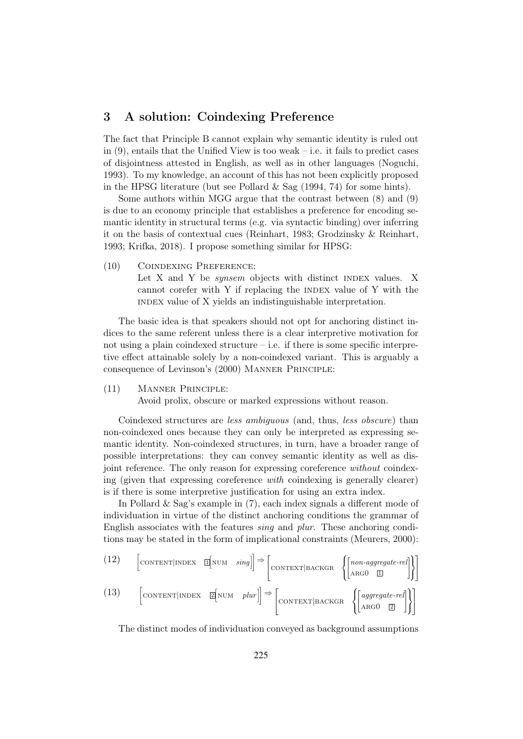# 3 A solution: Coindexing Preference

The fact that Principle B cannot explain why semantic identity is ruled out in  $(9)$ , entails that the Unified View is too weak – i.e. it fails to predict cases of disjointness attested in English, as well as in other languages (Noguchi, 1993). To my knowledge, an account of this has not been explicitly proposed in the HPSG literature (but see Pollard  $\&$  Sag (1994, 74) for some hints).

Some authors within MGG argue that the contrast between (8) and (9) is due to an economy principle that establishes a preference for encoding semantic identity in structural terms (e.g. via syntactic binding) over inferring it on the basis of contextual cues (Reinhart, 1983; Grodzinsky & Reinhart, 1993; Krifka, 2018). I propose something similar for HPSG:

(10) Coindexing Preference: Let X and Y be *synsem* objects with distinct INDEX values. X cannot corefer with  $Y$  if replacing the INDEX value of  $Y$  with the index value of X yields an indistinguishable interpretation.

The basic idea is that speakers should not opt for anchoring distinct indices to the same referent unless there is a clear interpretive motivation for not using a plain coindexed structure  $-$  i.e. if there is some specific interpretive effect attainable solely by a non-coindexed variant. This is arguably a consequence of Levinson's (2000) Manner Principle:

(11) Manner Principle:

Avoid prolix, obscure or marked expressions without reason.

Coindexed structures are less ambiguous (and, thus, less obscure) than non-coindexed ones because they can only be interpreted as expressing semantic identity. Non-coindexed structures, in turn, have a broader range of possible interpretations: they can convey semantic identity as well as disjoint reference. The only reason for expressing coreference without coindexing (given that expressing coreference with coindexing is generally clearer) is if there is some interpretive justification for using an extra index.

In Pollard & Sag's example in (7), each index signals a different mode of individuation in virtue of the distinct anchoring conditions the grammar of English associates with the features sing and plur. These anchoring conditions may be stated in the form of implicational constraints (Meurers, 2000):

(12) 
$$
\begin{bmatrix} \text{CONTENT} | \text{INDEX} & \boxed{\text{INUM}} & \text{sing} \end{bmatrix} \Rightarrow \begin{bmatrix} \text{CONTENT} | \text{BACKGR} & \left\{ \begin{bmatrix} \text{non-aggregate-rel} \\ \text{ARGO} & \boxed{\text{I}} \end{bmatrix} \right\} \end{bmatrix}
$$
  
(13) 
$$
\begin{bmatrix} \text{CONTENT} | \text{INDEX} & \boxed{\text{Z} | \text{NUM} & \text{plur} \end{bmatrix} \Rightarrow \begin{bmatrix} \text{CONTENT} | \text{BACKGR} & \left\{ \begin{bmatrix} \text{aggregate-rel} \\ \text{ARGO} & \boxed{\text{2}} \end{bmatrix} \right\} \end{bmatrix}
$$

The distinct modes of individuation conveyed as background assumptions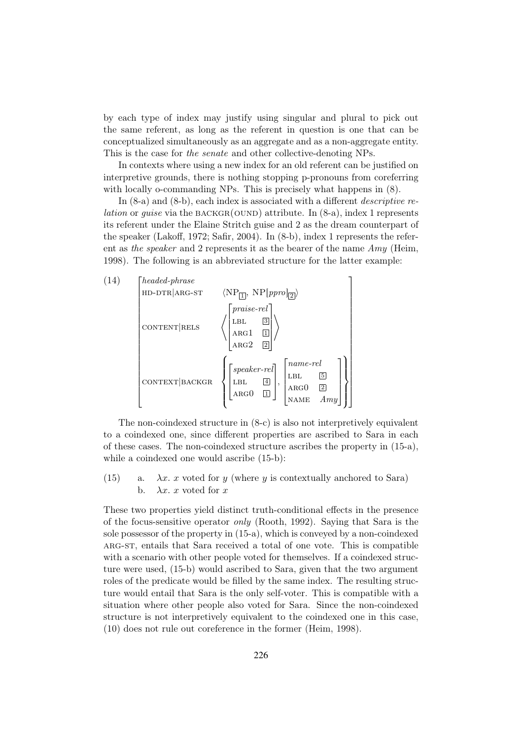by each type of index may justify using singular and plural to pick out the same referent, as long as the referent in question is one that can be conceptualized simultaneously as an aggregate and as a non-aggregate entity. This is the case for the senate and other collective-denoting NPs.

In contexts where using a new index for an old referent can be justified on interpretive grounds, there is nothing stopping p-pronouns from coreferring with locally o-commanding NPs. This is precisely what happens in  $(8)$ .

In  $(8-a)$  and  $(8-b)$ , each index is associated with a different *descriptive relation* or *quise* via the BACKGR(OUND) attribute. In  $(8-a)$ , index 1 represents its referent under the Elaine Stritch guise and 2 as the dream counterpart of the speaker (Lakoff, 1972; Safir, 2004). In (8-b), index 1 represents the referent as the speaker and 2 represents it as the bearer of the name  $Amy$  (Heim, 1998). The following is an abbreviated structure for the latter example:



The non-coindexed structure in (8-c) is also not interpretively equivalent to a coindexed one, since different properties are ascribed to Sara in each of these cases. The non-coindexed structure ascribes the property in (15-a), while a coindexed one would ascribe  $(15-b)$ :

(15) a.  $\lambda x$ . x voted for y (where y is contextually anchored to Sara) b.  $\lambda x$ . x voted for x

These two properties yield distinct truth-conditional effects in the presence of the focus-sensitive operator *only* (Rooth, 1992). Saying that Sara is the sole possessor of the property in (15-a), which is conveyed by a non-coindexed arg-st, entails that Sara received a total of one vote. This is compatible with a scenario with other people voted for themselves. If a coindexed structure were used, (15-b) would ascribed to Sara, given that the two argument roles of the predicate would be filled by the same index. The resulting structure would entail that Sara is the only self-voter. This is compatible with a situation where other people also voted for Sara. Since the non-coindexed structure is not interpretively equivalent to the coindexed one in this case, (10) does not rule out coreference in the former (Heim, 1998).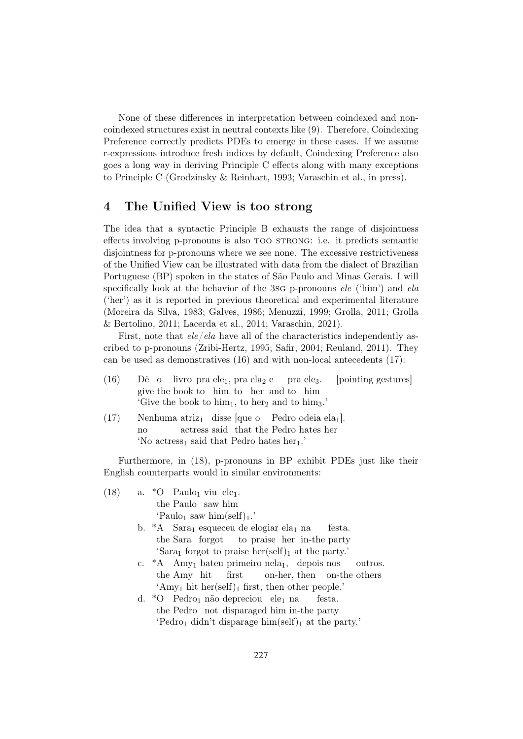None of these differences in interpretation between coindexed and noncoindexed structures exist in neutral contexts like (9). Therefore, Coindexing Preference correctly predicts PDEs to emerge in these cases. If we assume r-expressions introduce fresh indices by default, Coindexing Preference also goes a long way in deriving Principle C effects along with many exceptions to Principle C (Grodzinsky & Reinhart, 1993; Varaschin et al., in press).

# 4 The Unified View is too strong

The idea that a syntactic Principle B exhausts the range of disjointness effects involving p-pronouns is also too strong: i.e. it predicts semantic disjointness for p-pronouns where we see none. The excessive restrictiveness of the Unified View can be illustrated with data from the dialect of Brazilian Portuguese (BP) spoken in the states of São Paulo and Minas Gerais. I will specifically look at the behavior of the 3sg p-pronouns ele ('him') and ela ('her') as it is reported in previous theoretical and experimental literature (Moreira da Silva, 1983; Galves, 1986; Menuzzi, 1999; Grolla, 2011; Grolla & Bertolino, 2011; Lacerda et al., 2014; Varaschin, 2021).

First, note that  $ele/ela$  have all of the characteristics independently ascribed to p-pronouns (Zribi-Hertz, 1995; Safir, 2004; Reuland, 2011). They can be used as demonstratives (16) and with non-local antecedents (17):

- $(16)$ give the book to him to her and to him o livro pra ele<sub>1</sub>, pra ela<sub>2</sub> e pra ele3. [pointing gestures] 'Give the book to  $\lim_{1}$ , to her<sub>2</sub> and to  $\lim_{3}$ .'
- $(17)$  Nenhuma atriz<sub>1</sub> disse [que o Pedro odeia ela<sub>1</sub>]. no actress said that the Pedro hates her 'No actress<sub>1</sub> said that Pedro hates her<sub>1</sub>.'

Furthermore, in (18), p-pronouns in BP exhibit PDEs just like their English counterparts would in similar environments:

- $(18)$  a. \*O Paulo<sub>1</sub> viu ele<sub>1</sub>. the Paulo saw him 'Paulo<sub>1</sub> saw him(self)<sub>1</sub>.'
	- b.  $*A$  Sara<sub>1</sub> esqueceu de elogiar ela<sub>1</sub> na the Sara forgot to praise her in-the party festa. 'Sara<sub>1</sub> forgot to praise her(self)<sub>1</sub> at the party.'
	- c. \*A Amy<sub>1</sub> bateu primeiro nela<sub>1</sub>, depois nos the Amy hit first on-her, then on-the others outros. 'Amy<sub>1</sub> hit her(self)<sub>1</sub> first, then other people.'
	- d. \*O Pedro<sub>1</sub> não depreciou ele<sub>1</sub> na the Pedro not disparaged him in-the party festa. 'Pedro<sub>1</sub> didn't disparage him(self)<sub>1</sub> at the party.'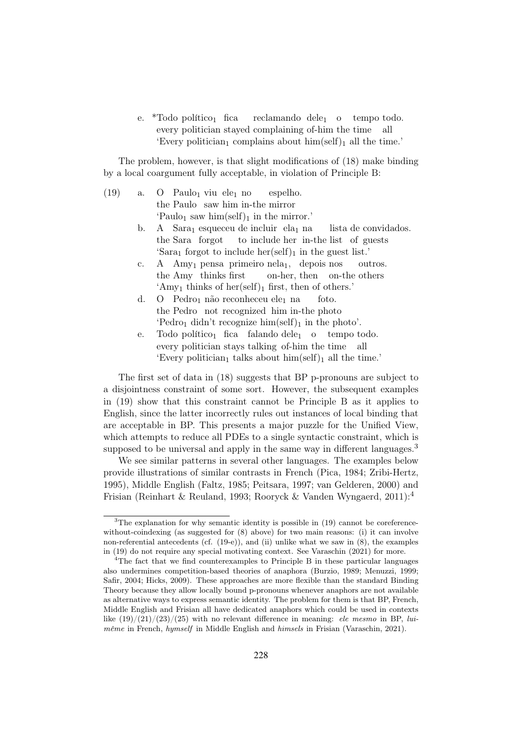e. \*Todo político<sub>1</sub> fica every politician stayed complaining of-him the time all reclamando dele<sub>1</sub> o tempo todo. 'Every politician<sub>1</sub> complains about him(self)<sub>1</sub> all the time.'

The problem, however, is that slight modifications of (18) make binding by a local coargument fully acceptable, in violation of Principle B:

- $(19)$  a. the Paulo saw him in-the mirror Paulo<sub>1</sub> viu ele<sub>1</sub> no espelho. 'Paulo<sub>1</sub> saw him(self)<sub>1</sub> in the mirror.'
	- $\mathbf b$ . the Sara forgot Sara<sub>1</sub> esqueceu de incluir ela<sub>1</sub> na to include her in-the list of guests lista de convidados. 'Sara<sub>1</sub> forgot to include her(self)<sub>1</sub> in the guest list.'
	- c. A Amy<sub>1</sub> pensa primeiro nela<sub>1</sub>, depois nos the Amy thinks first on-her, then on-the others outros. 'Amy<sub>1</sub> thinks of her(self)<sub>1</sub> first, then of others.'
	- $d.$ the Pedro not recognized him in-the photo Pedro<sub>1</sub> não reconheceu ele<sub>1</sub> na foto. 'Pedro<sub>1</sub> didn't recognize him(self)<sub>1</sub> in the photo'.
	- e. Todo político<sub>1</sub> fica falando dele<sub>1</sub> every politician stays talking of-him the time all o tempo todo. 'Every politician<sub>1</sub> talks about  $\lim(\text{self})_1$  all the time.'

The first set of data in (18) suggests that BP p-pronouns are subject to a disjointness constraint of some sort. However, the subsequent examples in (19) show that this constraint cannot be Principle B as it applies to English, since the latter incorrectly rules out instances of local binding that are acceptable in BP. This presents a major puzzle for the Unified View, which attempts to reduce all PDEs to a single syntactic constraint, which is supposed to be universal and apply in the same way in different languages.<sup>3</sup>

We see similar patterns in several other languages. The examples below provide illustrations of similar contrasts in French (Pica, 1984; Zribi-Hertz, 1995), Middle English (Faltz, 1985; Peitsara, 1997; van Gelderen, 2000) and Frisian (Reinhart & Reuland, 1993; Rooryck & Vanden Wyngaerd, 2011):<sup>4</sup>

 $3$ The explanation for why semantic identity is possible in (19) cannot be coreferencewithout-coindexing (as suggested for  $(8)$  above) for two main reasons: (i) it can involve non-referential antecedents (cf. (19-e)), and (ii) unlike what we saw in (8), the examples in (19) do not require any special motivating context. See Varaschin (2021) for more.

<sup>&</sup>lt;sup>4</sup>The fact that we find counterexamples to Principle B in these particular languages also undermines competition-based theories of anaphora (Burzio, 1989; Menuzzi, 1999; Safir, 2004; Hicks, 2009). These approaches are more flexible than the standard Binding Theory because they allow locally bound p-pronouns whenever anaphors are not available as alternative ways to express semantic identity. The problem for them is that BP, French, Middle English and Frisian all have dedicated anaphors which could be used in contexts like  $(19)/(21)/(23)/(25)$  with no relevant difference in meaning: *ele mesmo* in BP, luimême in French, hymself in Middle English and himsels in Frisian (Varaschin, 2021).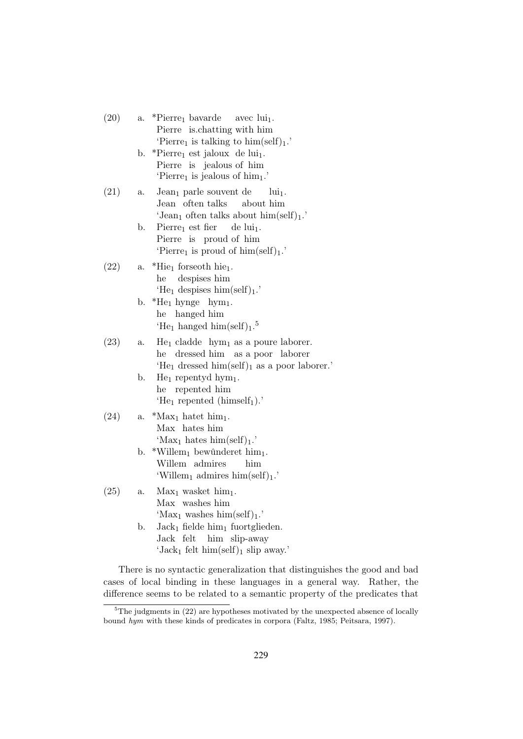- $(20)$  a. \*Pierre<sub>1</sub> bavarde Pierre is.chatting with him avec  $\operatorname{lui}_1$ . 'Pierre<sub>1</sub> is talking to  $\lim(\text{self})_1$ .'
	- b. \*Pierre<sub>1</sub> est jaloux de lui<sub>1</sub>. Pierre is jealous of him 'Pierre<sub>1</sub> is jealous of him<sub>1</sub>.'
- $(21)$  a. Jean<sub>1</sub> parle souvent de Jean often talks about him  $lui<sub>1</sub>$ . 'Jean<sub>1</sub> often talks about  $\lim(\text{self})_1$ .'
	- b. Pierre<sub>1</sub> est fier Pierre is proud of him  $de lui<sub>1</sub>$ . 'Pierre<sub>1</sub> is proud of him(self)<sub>1</sub>.'
- $(22)$  a. \*Hie<sub>1</sub> forseoth hie<sub>1</sub>. he despises him 'He<sub>1</sub> despises  $\lim(\text{self})_1$ .'
	- b.  $*He_1$  hynge hym<sub>1</sub>. he hanged him 'He<sub>1</sub> hanged him(self)<sub>1</sub>.<sup>5</sup>
- $(23)$  a. He<sub>1</sub> cladde hym<sub>1</sub> as a poure laborer. he dressed him as a poor laborer 'He<sub>1</sub> dressed him(self)<sub>1</sub> as a poor laborer.'
	- b. He<sub>1</sub> repentyd hym<sub>1</sub>. he repented him 'He<sub>1</sub> repented  $(himself<sub>1</sub>)$ .'
- $(24)$  a. \*Max<sub>1</sub> hatet him<sub>1</sub>. Max hates him 'Max<sub>1</sub> hates him(self)<sub>1</sub>.'
	- b. \*Willem<sub>1</sub> bewûnderet him<sub>1</sub>. Willem admires him 'Willem<sub>1</sub> admires him(self)<sub>1</sub>.'

## $(25)$  a. Max<sub>1</sub> wasket him<sub>1</sub>. Max washes him 'Max<sub>1</sub> washes him(self)<sub>1</sub>.' b. Jack<sub>1</sub> fielde  $\lim_{1}$  fuortglieden. Jack felt him slip-away 'Jack<sub>1</sub> felt him(self)<sub>1</sub> slip away.'

There is no syntactic generalization that distinguishes the good and bad cases of local binding in these languages in a general way. Rather, the difference seems to be related to a semantic property of the predicates that

 ${}^{5}$ The judgments in (22) are hypotheses motivated by the unexpected absence of locally bound hym with these kinds of predicates in corpora (Faltz, 1985; Peitsara, 1997).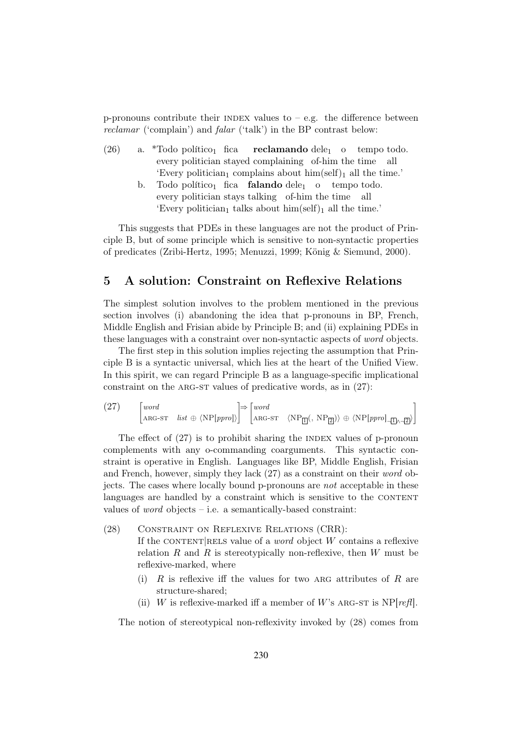p-pronouns contribute their INDEX values to  $-$  e.g. the difference between reclamar ('complain') and falar ('talk') in the BP contrast below:

- $(26)$  a. \*Todo político<sub>1</sub> fica every politician stayed complaining of-him the time  $\bf{reclamando}$   $\rm{dele}_1$   $\rm{o}$   $\rm{tempo}$   $\rm{todo}$ .all 'Every politician<sub>1</sub> complains about  $\lim(\text{self})_1$  all the time.'
	- b. Todo político<sub>1</sub> fica **falando** dele<sub>1</sub> o tempo todo. every politician stays talking of-him the time all 'Every politician<sub>1</sub> talks about  $\lim(\text{self})_1$  all the time.'

This suggests that PDEs in these languages are not the product of Principle B, but of some principle which is sensitive to non-syntactic properties of predicates (Zribi-Hertz, 1995; Menuzzi, 1999; König & Siemund, 2000).

### 5 A solution: Constraint on Reflexive Relations

The simplest solution involves to the problem mentioned in the previous section involves (i) abandoning the idea that p-pronouns in BP, French, Middle English and Frisian abide by Principle B; and (ii) explaining PDEs in these languages with a constraint over non-syntactic aspects of word objects.

The first step in this solution implies rejecting the assumption that Principle B is a syntactic universal, which lies at the heart of the Unified View. In this spirit, we can regard Principle B as a language-specific implicational constraint on the ARG-ST values of predicative words, as in  $(27)$ :

 $(27)$ word ARG-ST  $list \oplus \langle NP[ppro] \rangle$  $\Rightarrow$   $\lceil word \rceil$ ARG-ST  $\langle NP_{\boxed{1}}(, NP_{\boxed{2}}) \rangle \oplus \langle NP[ppro]_{\overline{11} \wedge \overline{12}} \rangle$ 1

The effect of  $(27)$  is to prohibit sharing the INDEX values of p-pronoun complements with any o-commanding coarguments. This syntactic constraint is operative in English. Languages like BP, Middle English, Frisian and French, however, simply they lack (27) as a constraint on their word objects. The cases where locally bound p-pronouns are not acceptable in these languages are handled by a constraint which is sensitive to the CONTENT values of *word* objects – i.e. a semantically-based constraint:

- (28) Constraint on Reflexive Relations (CRR): If the CONTENT RELS value of a *word* object W contains a reflexive relation  $R$  and  $R$  is stereotypically non-reflexive, then  $W$  must be reflexive-marked, where
	- (i)  $R$  is reflexive iff the values for two ARG attributes of  $R$  are structure-shared;
	- (ii) W is reflexive-marked iff a member of W's ARG-ST is  $NP[refl]$ .

The notion of stereotypical non-reflexivity invoked by (28) comes from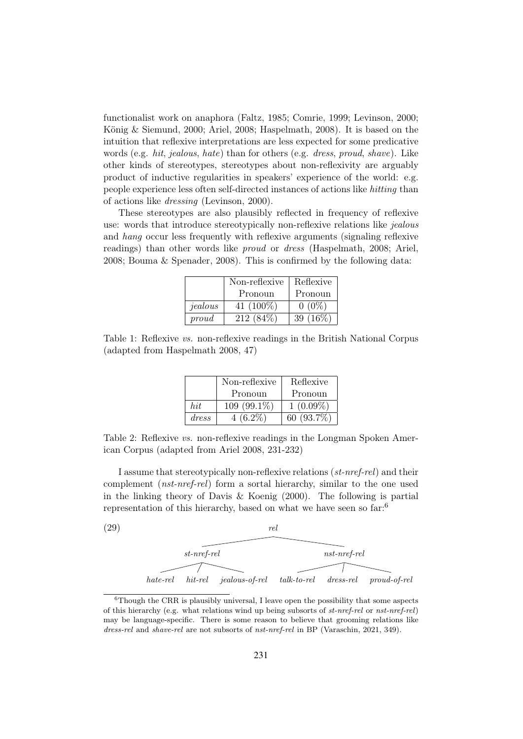functionalist work on anaphora (Faltz, 1985; Comrie, 1999; Levinson, 2000; König & Siemund, 2000; Ariel, 2008; Haspelmath, 2008). It is based on the intuition that reflexive interpretations are less expected for some predicative words (e.g. hit, jealous, hate) than for others (e.g. dress, proud, shave). Like other kinds of stereotypes, stereotypes about non-reflexivity are arguably product of inductive regularities in speakers' experience of the world: e.g. people experience less often self-directed instances of actions like hitting than of actions like dressing (Levinson, 2000).

These stereotypes are also plausibly reflected in frequency of reflexive use: words that introduce stereotypically non-reflexive relations like *jealous* and hang occur less frequently with reflexive arguments (signaling reflexive readings) than other words like proud or dress (Haspelmath, 2008; Ariel, 2008; Bouma & Spenader, 2008). This is confirmed by the following data:

|         | Non-reflexive | Reflexive   |
|---------|---------------|-------------|
|         | Pronoun       | Pronoun     |
| jealous | 41 $(100\%)$  | $0(0\%)$    |
| proud   | $212(84\%)$   | 39 $(16\%)$ |

Table 1: Reflexive vs. non-reflexive readings in the British National Corpus (adapted from Haspelmath 2008, 47)

|       | Non-reflexive | Reflexive     |
|-------|---------------|---------------|
|       | Pronoun       | Pronoun       |
| hit   | $109(99.1\%)$ | $1(0.09\%)$   |
| dress | $4(6.2\%)$    | 60 $(93.7\%)$ |

Table 2: Reflexive vs. non-reflexive readings in the Longman Spoken American Corpus (adapted from Ariel 2008, 231-232)

I assume that stereotypically non-reflexive relations (st-nref-rel) and their complement (*nst-nref-rel*) form a sortal hierarchy, similar to the one used in the linking theory of Davis & Koenig (2000). The following is partial representation of this hierarchy, based on what we have seen so far:<sup>6</sup>

| (29) |             |               | rel                                          |                |                |
|------|-------------|---------------|----------------------------------------------|----------------|----------------|
|      |             |               |                                              |                |                |
|      |             | $st-nref-rel$ |                                              | $nst-nref-rel$ |                |
|      |             |               |                                              |                |                |
|      | $hate$ -rel |               | hit-rel jealous-of-rel talk-to-rel dress-rel |                | $proud-of-rel$ |

 ${}^{6}$ Though the CRR is plausibly universal, I leave open the possibility that some aspects of this hierarchy (e.g. what relations wind up being subsorts of  $st-nref-rel$ ) may be language-specific. There is some reason to believe that grooming relations like dress-rel and shave-rel are not subsorts of nst-nref-rel in BP (Varaschin, 2021, 349).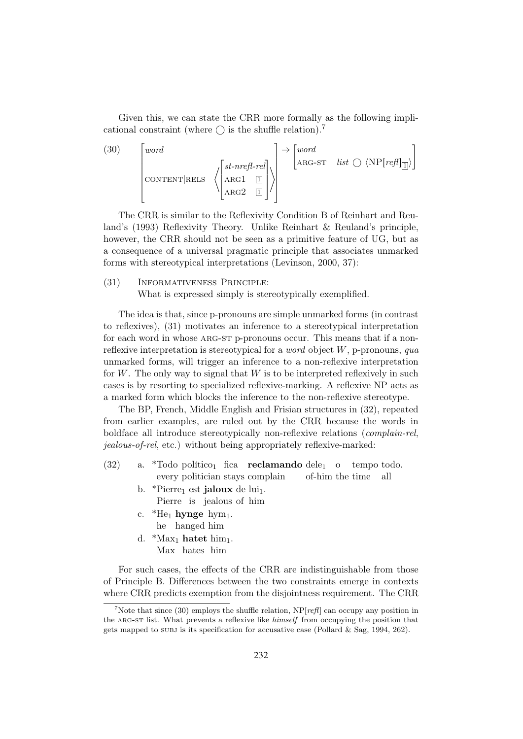Given this, we can state the CRR more formally as the following implicational constraint (where  $\bigcap$  is the shuffle relation).<sup>7</sup>

(30) 
$$
\begin{bmatrix} word \\ \text{concl}\end{bmatrix} \times \begin{bmatrix} \text{mod} \\ \text{concl}\end{bmatrix} \times \begin{bmatrix} \text{end} \\ \text{and} \end{bmatrix}
$$

The CRR is similar to the Reflexivity Condition B of Reinhart and Reuland's (1993) Reflexivity Theory. Unlike Reinhart & Reuland's principle, however, the CRR should not be seen as a primitive feature of UG, but as a consequence of a universal pragmatic principle that associates unmarked forms with stereotypical interpretations (Levinson, 2000, 37):

#### (31) Informativeness Principle:

What is expressed simply is stereotypically exemplified.

The idea is that, since p-pronouns are simple unmarked forms (in contrast to reflexives), (31) motivates an inference to a stereotypical interpretation for each word in whose ARG-ST p-pronouns occur. This means that if a nonreflexive interpretation is stereotypical for a *word* object  $W$ , p-pronouns, qua unmarked forms, will trigger an inference to a non-reflexive interpretation for  $W$ . The only way to signal that  $W$  is to be interpreted reflexively in such cases is by resorting to specialized reflexive-marking. A reflexive NP acts as a marked form which blocks the inference to the non-reflexive stereotype.

The BP, French, Middle English and Frisian structures in (32), repeated from earlier examples, are ruled out by the CRR because the words in boldface all introduce stereotypically non-reflexive relations (complain-rel, jealous-of-rel, etc.) without being appropriately reflexive-marked:

- $(32)$  a. \*Todo político<sub>1</sub> fica **reclamando** dele<sub>1</sub> o tempo todo. every politician stays complain of-him the time all
	- b. \*Pierre<sub>1</sub> est **jaloux** de lui<sub>1</sub>.
		- Pierre is jealous of him
	- c.  $*He_1$  hynge hym<sub>1</sub>. he hanged him
	- d.  $*$ Max<sub>1</sub> **hatet** him<sub>1</sub>. Max hates him

For such cases, the effects of the CRR are indistinguishable from those of Principle B. Differences between the two constraints emerge in contexts where CRR predicts exemption from the disjointness requirement. The CRR

<sup>&</sup>lt;sup>7</sup>Note that since (30) employs the shuffle relation,  $NP[ref]$  can occupy any position in the ARG-ST list. What prevents a reflexive like *himself* from occupying the position that gets mapped to subj is its specification for accusative case (Pollard & Sag, 1994, 262).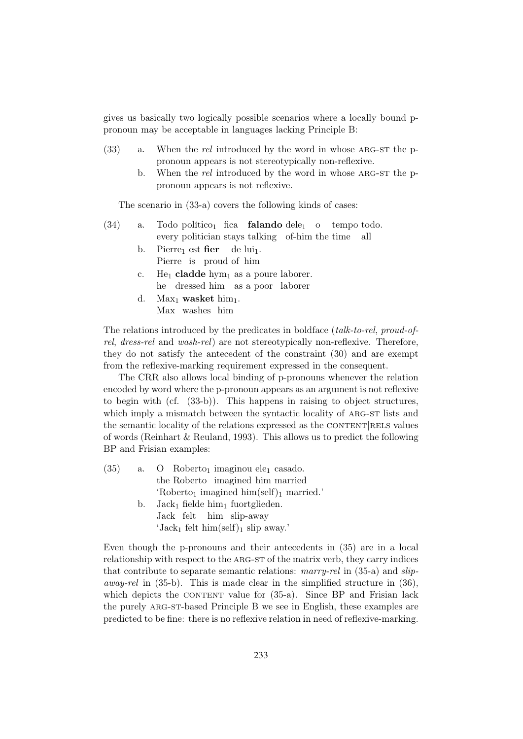gives us basically two logically possible scenarios where a locally bound ppronoun may be acceptable in languages lacking Principle B:

- $(33)$  a. When the rel introduced by the word in whose ARG-ST the ppronoun appears is not stereotypically non-reflexive.
	- b. When the rel introduced by the word in whose ARG-ST the ppronoun appears is not reflexive.

The scenario in (33-a) covers the following kinds of cases:

- $(34)$  a. Todo político<sub>1</sub> fica **falando** dele<sub>1</sub> o tempo todo. every politician stays talking of-him the time all
	- b. Pierre<sub>1</sub> est **fier** de lui<sub>1</sub>. Pierre is proud of him
	- c. He<sub>1</sub> cladde hym<sub>1</sub> as a poure laborer. he dressed him as a poor laborer
	- d. Max<sub>1</sub> wasket  $\lim_{1}$ . Max washes him

The relations introduced by the predicates in boldface (talk-to-rel, proud-ofrel, dress-rel and wash-rel) are not stereotypically non-reflexive. Therefore, they do not satisfy the antecedent of the constraint (30) and are exempt from the reflexive-marking requirement expressed in the consequent.

The CRR also allows local binding of p-pronouns whenever the relation encoded by word where the p-pronoun appears as an argument is not reflexive to begin with (cf. (33-b)). This happens in raising to object structures, which imply a mismatch between the syntactic locality of ARG-ST lists and the semantic locality of the relations expressed as the CONTENT RELS values of words (Reinhart & Reuland, 1993). This allows us to predict the following BP and Frisian examples:

| (35) |    | a. O Roberto <sub>1</sub> imaginou ele <sub>1</sub> casado.    |
|------|----|----------------------------------------------------------------|
|      |    | the Roberto imagined him married                               |
|      |    | 'Roberto <sub>1</sub> imagined $\lim(\text{self})_1$ married.' |
|      | b. | $Jack_1$ fielde $him_1$ fuortglieden.                          |
|      |    | Jack felt him slip-away                                        |
|      |    | 'Jack <sub>1</sub> felt him(self) <sub>1</sub> slip away.'     |
|      |    |                                                                |

Even though the p-pronouns and their antecedents in (35) are in a local relationship with respect to the arg-st of the matrix verb, they carry indices that contribute to separate semantic relations: marry-rel in (35-a) and slip*away-rel* in  $(35-b)$ . This is made clear in the simplified structure in  $(36)$ , which depicts the CONTENT value for  $(35-a)$ . Since BP and Frisian lack the purely arg-st-based Principle B we see in English, these examples are predicted to be fine: there is no reflexive relation in need of reflexive-marking.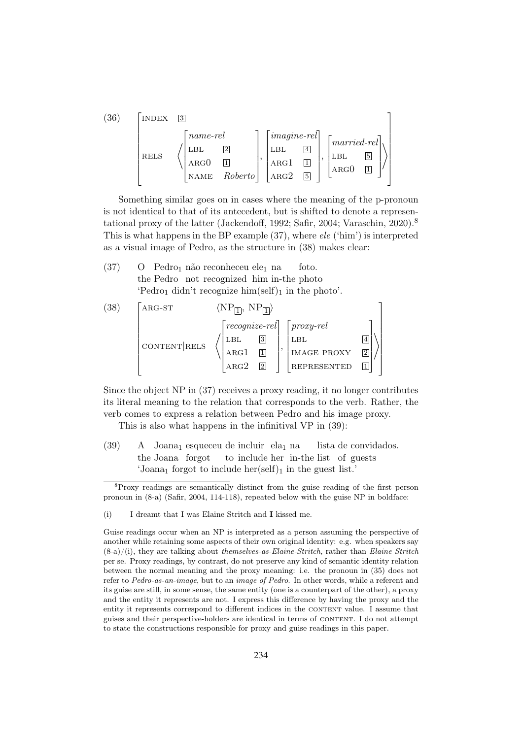| (36) | <b>INDEX</b> | 3                                                                                                                                                                                                          |
|------|--------------|------------------------------------------------------------------------------------------------------------------------------------------------------------------------------------------------------------|
|      | <b>RELS</b>  | $\vert \textit{image-rel} \vert$<br>$\mid$ name-rel<br>$\lceil married\text{-}rel\rceil$<br>$\overline{4}$<br>2<br>LBL<br>LBL<br>  LBL<br>ARG1<br>ARG()<br>ARG()<br>ARG2<br>$\boxed{5}$<br>Roberto<br>NAME |

Something similar goes on in cases where the meaning of the p-pronoun is not identical to that of its antecedent, but is shifted to denote a representational proxy of the latter (Jackendoff, 1992; Safir, 2004; Varaschin, 2020).<sup>8</sup> This is what happens in the BP example (37), where ele ('him') is interpreted as a visual image of Pedro, as the structure in (38) makes clear:

 $(37)$ the Pedro not recognized him in-the photo Pedro<sub>1</sub> não reconheceu ele<sub>1</sub> na foto. 'Pedro<sub>1</sub> didn't recognize him(self)<sub>1</sub> in the photo'.

(38) 
$$
\begin{bmatrix} \n\text{ARG-ST} & \langle NP_{\boxed{1}}, NP_{\boxed{1}} \rangle \\
\text{CONTENT}|\text{REL} & \left\langle \begin{bmatrix} \text{recognize-rel} \\ \text{LBL} & \boxed{3} \\ \text{ARG1} & \boxed{1} \\ \text{ARG2} & \boxed{2} \end{bmatrix}, \begin{bmatrix} \text{proxy-rel} \\ \text{LBL} \\ \text{IMAGE PROXY} & \boxed{2} \\ \text{REPRESENTED} & \boxed{1} \end{bmatrix} \right\rangle
$$

Since the object NP in (37) receives a proxy reading, it no longer contributes its literal meaning to the relation that corresponds to the verb. Rather, the verb comes to express a relation between Pedro and his image proxy.

This is also what happens in the infinitival VP in (39):

 $(39)$ the Joana forgot Joana<sub>1</sub> esqueceu de incluir ela<sub>1</sub> na to include her in-the list of guests lista de convidados. 'Joana<sub>1</sub> forgot to include her(self)<sub>1</sub> in the guest list.'

<sup>8</sup>Proxy readings are semantically distinct from the guise reading of the first person pronoun in (8-a) (Safir, 2004, 114-118), repeated below with the guise NP in boldface:

<sup>(</sup>i) I dreamt that I was Elaine Stritch and I kissed me.

Guise readings occur when an NP is interpreted as a person assuming the perspective of another while retaining some aspects of their own original identity: e.g. when speakers say  $(8-a)/(i)$ , they are talking about themselves-as-Elaine-Stritch, rather than Elaine Stritch per se. Proxy readings, by contrast, do not preserve any kind of semantic identity relation between the normal meaning and the proxy meaning: i.e. the pronoun in (35) does not refer to Pedro-as-an-image, but to an image of Pedro. In other words, while a referent and its guise are still, in some sense, the same entity (one is a counterpart of the other), a proxy and the entity it represents are not. I express this difference by having the proxy and the entity it represents correspond to different indices in the CONTENT value. I assume that guises and their perspective-holders are identical in terms of CONTENT. I do not attempt to state the constructions responsible for proxy and guise readings in this paper.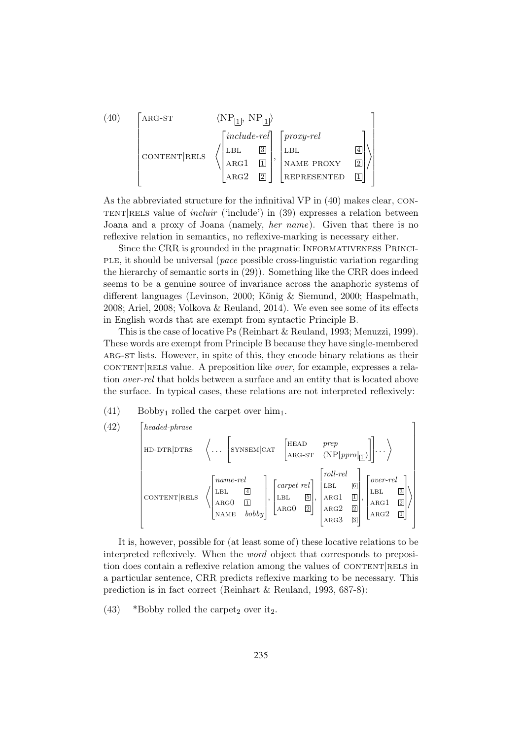(40) 
$$
\begin{bmatrix} \n\text{ARG-ST} & \langle NP_{\boxed{1}}, NP_{\boxed{1}} \rangle \\
\text{CONTENT} & \begin{bmatrix} \n\text{include-} \text{rel} \\
\text{LBL} & \boxed{3} \\
\text{ARG1} & \boxed{1} \\
\text{ARG2} & \boxed{2} \n\end{bmatrix}, \begin{bmatrix} \text{proxy-} \text{rel} \\
\text{LBL} & \boxed{4} \\
\text{NAME PROXY} & \boxed{2} \\
\text{REPRESENTED} & \boxed{1} \n\end{bmatrix} \n\end{bmatrix}
$$

As the abbreviated structure for the infinitival VP in (40) makes clear, con- $TENT|RELS$  value of *incluir* ('include') in (39) expresses a relation between Joana and a proxy of Joana (namely, her name). Given that there is no reflexive relation in semantics, no reflexive-marking is necessary either.

Since the CRR is grounded in the pragmatic Informativeness Principle, it should be universal (pace possible cross-linguistic variation regarding the hierarchy of semantic sorts in (29)). Something like the CRR does indeed seems to be a genuine source of invariance across the anaphoric systems of different languages (Levinson, 2000; König & Siemund, 2000; Haspelmath, 2008; Ariel, 2008; Volkova & Reuland, 2014). We even see some of its effects in English words that are exempt from syntactic Principle B.

This is the case of locative Ps (Reinhart & Reuland, 1993; Menuzzi, 1999). These words are exempt from Principle B because they have single-membered arg-st lists. However, in spite of this, they encode binary relations as their  $CONTENT|RELS$  value. A preposition like *over*, for example, expresses a relation over-rel that holds between a surface and an entity that is located above the surface. In typical cases, these relations are not interpreted reflexively:

 $(41)$  Bobby<sub>1</sub> rolled the carpet over him<sub>1</sub>.



It is, however, possible for (at least some of) these locative relations to be interpreted reflexively. When the word object that corresponds to preposition does contain a reflexive relation among the values of CONTENT RELS in a particular sentence, CRR predicts reflexive marking to be necessary. This prediction is in fact correct (Reinhart & Reuland, 1993, 687-8):

(43) \*Bobby rolled the carpet<sub>2</sub> over it<sub>2</sub>.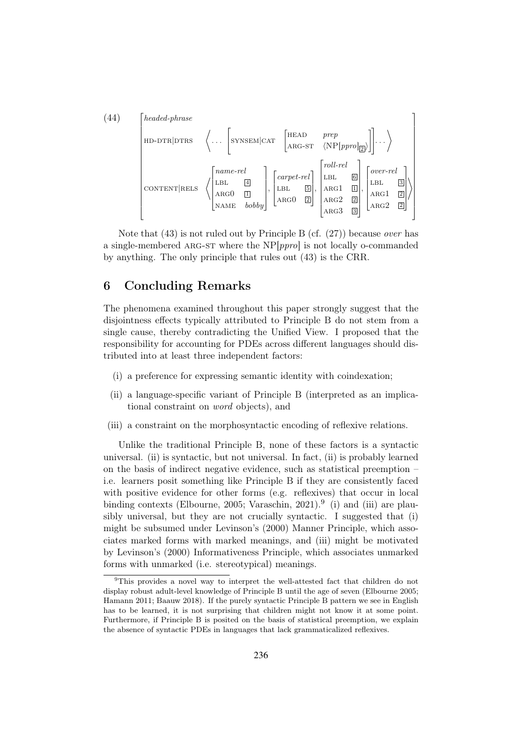(44)  
\n
$$
\begin{bmatrix}\n\text{head-phrase} \\
\text{HD-DTR}|\text{DTRS} & \langle \dots \begin{bmatrix}\n\text{SYNSEM}|\text{CAT} & \begin{bmatrix}\n\text{HEAD} & \text{prep} \\
\text{ARG-ST} & \langle \text{NP}[\text{ppro}]_{\mathbb{Z}}\n\end{bmatrix}\n\end{bmatrix} \dots\n\end{bmatrix} \n\end{bmatrix}
$$
\n
$$
\begin{bmatrix}\n\text{name-rel} \\
\text{CONTENT}|\text{RELS} & \langle \begin{bmatrix}\n\text{name-rel} \\
\text{LBL} & \boxed{4} \\
\text{ARGO} & \boxed{1} \\
\text{NAME} & \text{bobby}\n\end{bmatrix}\n\end{bmatrix},\n\begin{bmatrix}\n\text{care-rel} \\
\text{LBL} & \boxed{5} \\
\text{ARG1} & \boxed{1} \\
\text{ARG2} & \boxed{2} \\
\text{ARG2} & \boxed{3}\n\end{bmatrix}\n\end{bmatrix}
$$
\n
$$
\begin{bmatrix}\n\text{over-rel} \\
\text{LBL} & \boxed{5} \\
\text{ARG1} & \boxed{2} \\
\text{ARG2} & \boxed{2}\n\end{bmatrix}
$$

Note that  $(43)$  is not ruled out by Principle B (cf.  $(27)$ ) because *over* has a single-membered ARG-ST where the  $NP[ppro]$  is not locally o-commanded by anything. The only principle that rules out (43) is the CRR.

# 6 Concluding Remarks

The phenomena examined throughout this paper strongly suggest that the disjointness effects typically attributed to Principle B do not stem from a single cause, thereby contradicting the Unified View. I proposed that the responsibility for accounting for PDEs across different languages should distributed into at least three independent factors:

- (i) a preference for expressing semantic identity with coindexation;
- (ii) a language-specific variant of Principle B (interpreted as an implicational constraint on word objects), and
- (iii) a constraint on the morphosyntactic encoding of reflexive relations.

Unlike the traditional Principle B, none of these factors is a syntactic universal. (ii) is syntactic, but not universal. In fact, (ii) is probably learned on the basis of indirect negative evidence, such as statistical preemption – i.e. learners posit something like Principle B if they are consistently faced with positive evidence for other forms (e.g. reflexives) that occur in local binding contexts (Elbourne, 2005; Varaschin, 2021).<sup>9</sup> (i) and (iii) are plausibly universal, but they are not crucially syntactic. I suggested that (i) might be subsumed under Levinson's (2000) Manner Principle, which associates marked forms with marked meanings, and (iii) might be motivated by Levinson's (2000) Informativeness Principle, which associates unmarked forms with unmarked (i.e. stereotypical) meanings.

<sup>9</sup>This provides a novel way to interpret the well-attested fact that children do not display robust adult-level knowledge of Principle B until the age of seven (Elbourne 2005; Hamann 2011; Baauw 2018). If the purely syntactic Principle B pattern we see in English has to be learned, it is not surprising that children might not know it at some point. Furthermore, if Principle B is posited on the basis of statistical preemption, we explain the absence of syntactic PDEs in languages that lack grammaticalized reflexives.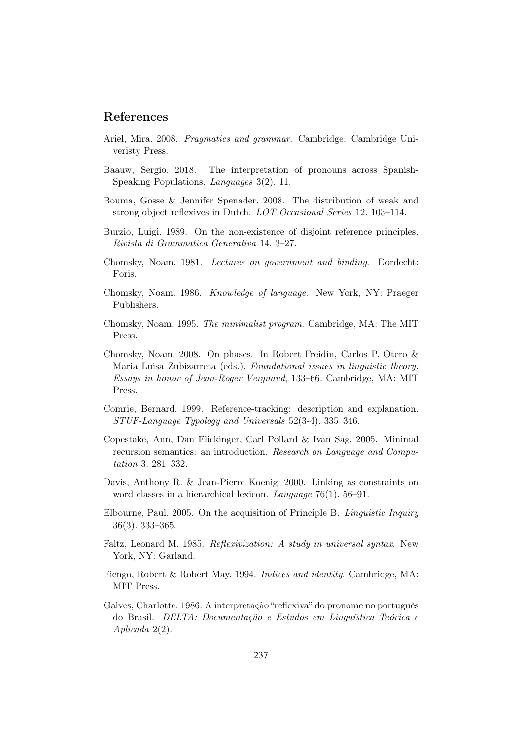# References

- Ariel, Mira. 2008. Pragmatics and grammar. Cambridge: Cambridge Univeristy Press.
- Baauw, Sergio. 2018. The interpretation of pronouns across Spanish-Speaking Populations. Languages 3(2). 11.
- Bouma, Gosse & Jennifer Spenader. 2008. The distribution of weak and strong object reflexives in Dutch. LOT Occasional Series 12. 103–114.
- Burzio, Luigi. 1989. On the non-existence of disjoint reference principles. Rivista di Grammatica Generativa 14. 3–27.
- Chomsky, Noam. 1981. Lectures on government and binding. Dordecht: Foris.
- Chomsky, Noam. 1986. Knowledge of language. New York, NY: Praeger Publishers.
- Chomsky, Noam. 1995. The minimalist program. Cambridge, MA: The MIT Press.
- Chomsky, Noam. 2008. On phases. In Robert Freidin, Carlos P. Otero & Maria Luisa Zubizarreta (eds.), Foundational issues in linguistic theory: Essays in honor of Jean-Roger Vergnaud, 133–66. Cambridge, MA: MIT Press.
- Comrie, Bernard. 1999. Reference-tracking: description and explanation. STUF-Language Typology and Universals 52(3-4). 335–346.
- Copestake, Ann, Dan Flickinger, Carl Pollard & Ivan Sag. 2005. Minimal recursion semantics: an introduction. Research on Language and Computation 3. 281–332.
- Davis, Anthony R. & Jean-Pierre Koenig. 2000. Linking as constraints on word classes in a hierarchical lexicon. Language 76(1). 56–91.
- Elbourne, Paul. 2005. On the acquisition of Principle B. Linguistic Inquiry 36(3). 333–365.
- Faltz, Leonard M. 1985. Reflexivization: A study in universal syntax. New York, NY: Garland.
- Fiengo, Robert & Robert May. 1994. Indices and identity. Cambridge, MA: MIT Press.
- Galves, Charlotte. 1986. A interpretação "reflexiva" do pronome no português do Brasil. DELTA: Documentação e Estudos em Linguística Teórica e Aplicada 2(2).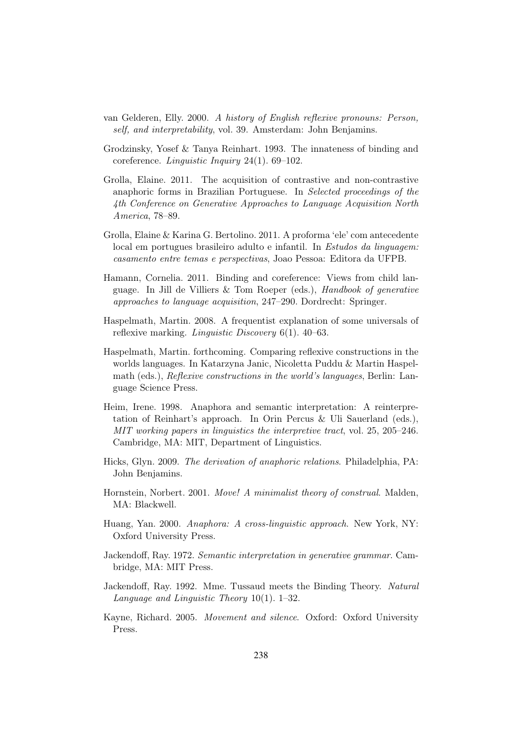- van Gelderen, Elly. 2000. A history of English reflexive pronouns: Person, self, and interpretability, vol. 39. Amsterdam: John Benjamins.
- Grodzinsky, Yosef & Tanya Reinhart. 1993. The innateness of binding and coreference. Linguistic Inquiry 24(1). 69–102.
- Grolla, Elaine. 2011. The acquisition of contrastive and non-contrastive anaphoric forms in Brazilian Portuguese. In Selected proceedings of the 4th Conference on Generative Approaches to Language Acquisition North America, 78–89.
- Grolla, Elaine & Karina G. Bertolino. 2011. A proforma 'ele' com antecedente local em portugues brasileiro adulto e infantil. In Estudos da linguagem: casamento entre temas e perspectivas, Joao Pessoa: Editora da UFPB.
- Hamann, Cornelia. 2011. Binding and coreference: Views from child language. In Jill de Villiers & Tom Roeper (eds.), Handbook of generative approaches to language acquisition, 247–290. Dordrecht: Springer.
- Haspelmath, Martin. 2008. A frequentist explanation of some universals of reflexive marking. Linguistic Discovery 6(1). 40–63.
- Haspelmath, Martin. forthcoming. Comparing reflexive constructions in the worlds languages. In Katarzyna Janic, Nicoletta Puddu & Martin Haspelmath (eds.), *Reflexive constructions in the world's languages*, Berlin: Language Science Press.
- Heim, Irene. 1998. Anaphora and semantic interpretation: A reinterpretation of Reinhart's approach. In Orin Percus & Uli Sauerland (eds.), MIT working papers in linguistics the interpretive tract, vol. 25, 205–246. Cambridge, MA: MIT, Department of Linguistics.
- Hicks, Glyn. 2009. The derivation of anaphoric relations. Philadelphia, PA: John Benjamins.
- Hornstein, Norbert. 2001. Move! A minimalist theory of construal. Malden, MA: Blackwell.
- Huang, Yan. 2000. Anaphora: A cross-linguistic approach. New York, NY: Oxford University Press.
- Jackendoff, Ray. 1972. Semantic interpretation in generative grammar. Cambridge, MA: MIT Press.
- Jackendoff, Ray. 1992. Mme. Tussaud meets the Binding Theory. Natural Language and Linguistic Theory 10(1).  $1-32$ .
- Kayne, Richard. 2005. Movement and silence. Oxford: Oxford University Press.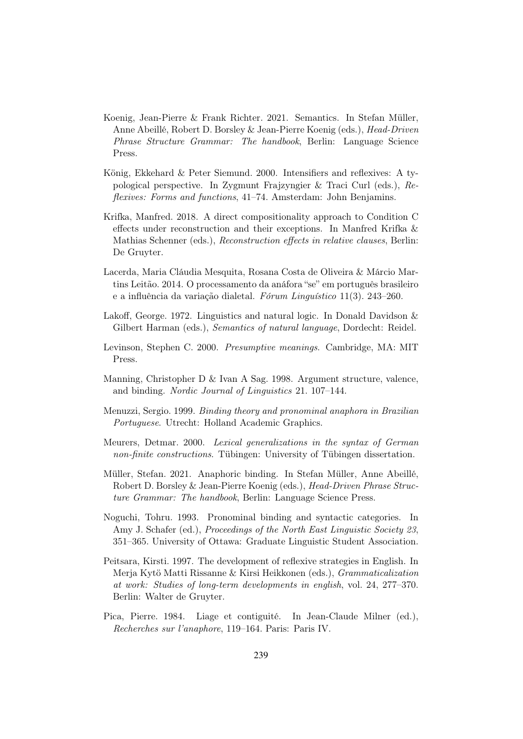- Koenig, Jean-Pierre & Frank Richter. 2021. Semantics. In Stefan Müller, Anne Abeillé, Robert D. Borsley & Jean-Pierre Koenig (eds.), Head-Driven Phrase Structure Grammar: The handbook, Berlin: Language Science Press.
- König, Ekkehard & Peter Siemund. 2000. Intensifiers and reflexives: A typological perspective. In Zygmunt Frajzyngier & Traci Curl (eds.), Reflexives: Forms and functions, 41–74. Amsterdam: John Benjamins.
- Krifka, Manfred. 2018. A direct compositionality approach to Condition C effects under reconstruction and their exceptions. In Manfred Krifka & Mathias Schenner (eds.), Reconstruction effects in relative clauses, Berlin: De Gruyter.
- Lacerda, Maria Cláudia Mesquita, Rosana Costa de Oliveira & Márcio Martins Leitão. 2014. O processamento da anáfora "se" em português brasileiro e a influência da variação dialetal. Fórum Linguístico 11(3). 243–260.
- Lakoff, George. 1972. Linguistics and natural logic. In Donald Davidson & Gilbert Harman (eds.), Semantics of natural language, Dordecht: Reidel.
- Levinson, Stephen C. 2000. Presumptive meanings. Cambridge, MA: MIT Press.
- Manning, Christopher D & Ivan A Sag. 1998. Argument structure, valence, and binding. Nordic Journal of Linguistics 21. 107–144.
- Menuzzi, Sergio. 1999. Binding theory and pronominal anaphora in Brazilian Portuguese. Utrecht: Holland Academic Graphics.
- Meurers, Detmar. 2000. Lexical generalizations in the syntax of German non-finite constructions. Tübingen: University of Tübingen dissertation.
- Müller, Stefan. 2021. Anaphoric binding. In Stefan Müller, Anne Abeillé, Robert D. Borsley & Jean-Pierre Koenig (eds.), Head-Driven Phrase Structure Grammar: The handbook, Berlin: Language Science Press.
- Noguchi, Tohru. 1993. Pronominal binding and syntactic categories. In Amy J. Schafer (ed.), *Proceedings of the North East Linguistic Society 23*, 351–365. University of Ottawa: Graduate Linguistic Student Association.
- Peitsara, Kirsti. 1997. The development of reflexive strategies in English. In Merja Kytö Matti Rissanne & Kirsi Heikkonen (eds.), Grammaticalization at work: Studies of long-term developments in english, vol. 24, 277–370. Berlin: Walter de Gruyter.
- Pica, Pierre. 1984. Liage et contiguité. In Jean-Claude Milner (ed.), Recherches sur l'anaphore, 119–164. Paris: Paris IV.